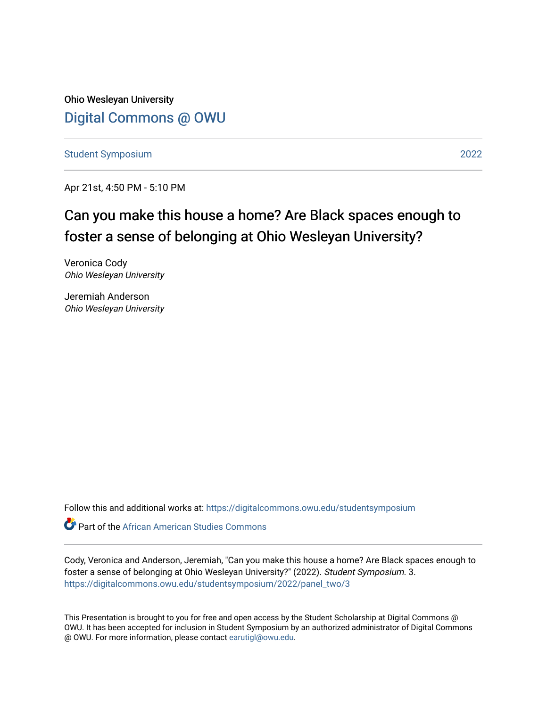Ohio Wesleyan University [Digital Commons @ OWU](https://digitalcommons.owu.edu/) 

[Student Symposium](https://digitalcommons.owu.edu/studentsymposium) [2022](https://digitalcommons.owu.edu/studentsymposium/2022) 

Apr 21st, 4:50 PM - 5:10 PM

#### Can you make this house a home? Are Black spaces enough to foster a sense of belonging at Ohio Wesleyan University?

Veronica Cody Ohio Wesleyan University

Jeremiah Anderson Ohio Wesleyan University

Follow this and additional works at: [https://digitalcommons.owu.edu/studentsymposium](https://digitalcommons.owu.edu/studentsymposium?utm_source=digitalcommons.owu.edu%2Fstudentsymposium%2F2022%2Fpanel_two%2F3&utm_medium=PDF&utm_campaign=PDFCoverPages)

**C** Part of the African American Studies Commons

Cody, Veronica and Anderson, Jeremiah, "Can you make this house a home? Are Black spaces enough to foster a sense of belonging at Ohio Wesleyan University?" (2022). Student Symposium. 3. [https://digitalcommons.owu.edu/studentsymposium/2022/panel\\_two/3](https://digitalcommons.owu.edu/studentsymposium/2022/panel_two/3?utm_source=digitalcommons.owu.edu%2Fstudentsymposium%2F2022%2Fpanel_two%2F3&utm_medium=PDF&utm_campaign=PDFCoverPages) 

This Presentation is brought to you for free and open access by the Student Scholarship at Digital Commons @ OWU. It has been accepted for inclusion in Student Symposium by an authorized administrator of Digital Commons @ OWU. For more information, please contact [earutigl@owu.edu.](mailto:earutigl@owu.edu)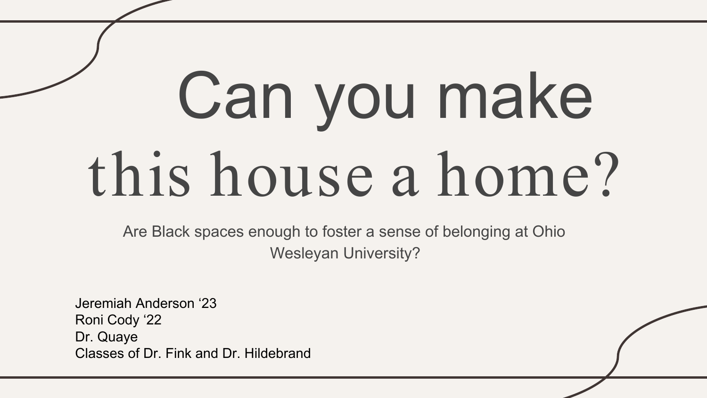# Can you make this house a home?

Are Black spaces enough to foster a sense of belonging at Ohio Wesleyan University?

Jeremiah Anderson '23 Roni Cody '22 Dr. Quaye Classes of Dr. Fink and Dr. Hildebrand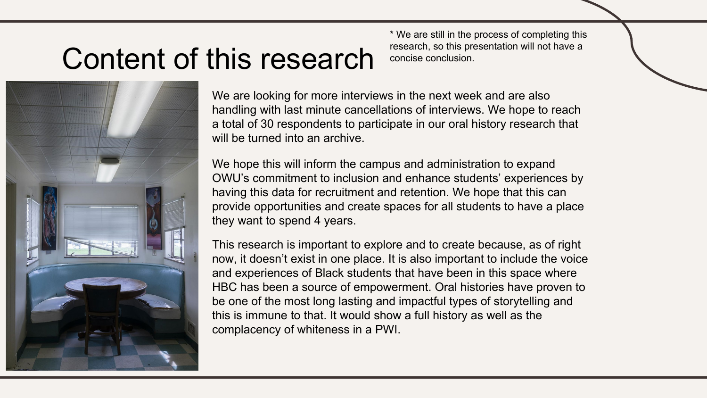### Content of this research



We are looking for more interviews in the next week and are also handling with last minute cancellations of interviews. We hope to reach a total of 30 respondents to participate in our oral history research that will be turned into an archive.

We hope this will inform the campus and administration to expand OWU's commitment to inclusion and enhance students' experiences by having this data for recruitment and retention. We hope that this can provide opportunities and create spaces for all students to have a place they want to spend 4 years.

This research is important to explore and to create because, as of right now, it doesn't exist in one place. It is also important to include the voice and experiences of Black students that have been in this space where HBC has been a source of empowerment. Oral histories have proven to be one of the most long lasting and impactful types of storytelling and this is immune to that. It would show a full history as well as the complacency of whiteness in a PWI.

\* We are still in the process of completing this research, so this presentation will not have a concise conclusion.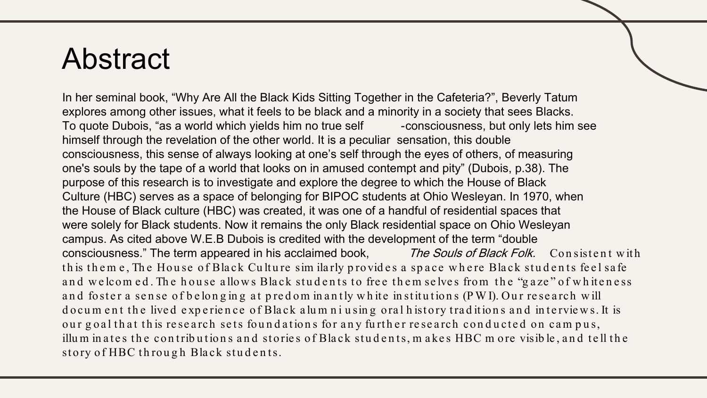#### Abstract

In her seminal book, "Why Are All the Black Kids Sitting Together in the Cafeteria?", Beverly Tatum explores among other issues, what it feels to be black and a minority in a society that sees Blacks. To quote Dubois, "as a world which yields him no true self -consciousness, but only lets him see himself through the revelation of the other world. It is a peculiar sensation, this double consciousness, this sense of always looking at one's self through the eyes of others, of measuring one's souls by the tape of a world that looks on in amused contempt and pity" (Dubois, p.38). The purpose of this research is to investigate and explore the degree to which the House of Black Culture (HBC) serves as a space of belonging for BIPOC students at Ohio Wesleyan. In 1970, when the House of Black culture (HBC) was created, it was one of a handful of residential spaces that were solely for Black students. Now it remains the only Black residential space on Ohio Wesleyan campus. As cited above W.E.B Dubois is credited with the development of the term "double consciousness." The term appeared in his acclaimed book, The Souls of Black Folk. Consistent with th is them e, The House of Black Culture sim ilarly provides a space where Black students feel safe and we lcom ed. The house allows Black students to free them selves from the "gaze" of whiteness and foster a sense of belonging at pred om in antly white institutions (PWI). Our research will d o cum ent the lived experience of Black alumniusing oral history traditions and interviews. It is our goal that this research sets foundations for any further research conducted on campus, illum in a tes the contributions and stories of Black students, makes HBC more visible, and tell the story of HBC through Black students.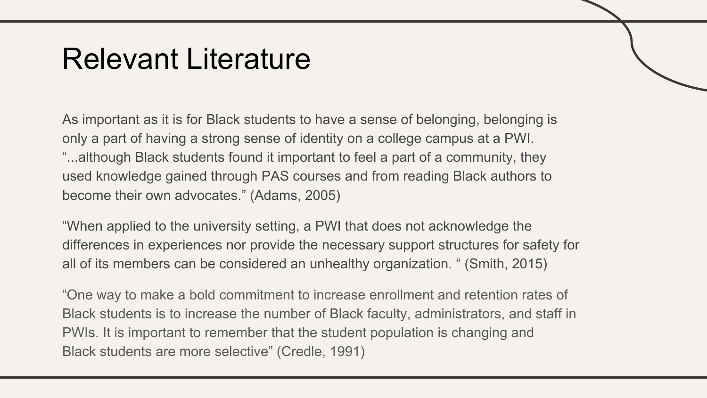#### Relevant Literature

As important as it is for Black students to have a sense of belonging, belonging is only a part of having a strong sense of identity on a college campus at a PWI. "...although Black students found it important to feel a part of a community, they used knowledge gained through PAS courses and from reading Black authors to become their own advocates." (Adams, 2005)

"When applied to the university setting, a PWI that does not acknowledge the differences in experiences nor provide the necessary support structures for safety for all of its members can be considered an unhealthy organization. " (Smith, 2015)

"One way to make a bold commitment to increase enrollment and retention rates of Black students is to increase the number of Black faculty, administrators, and staff in PWIs. It is important to remember that the student population is changing and Black students are more selective" (Credle, 1991)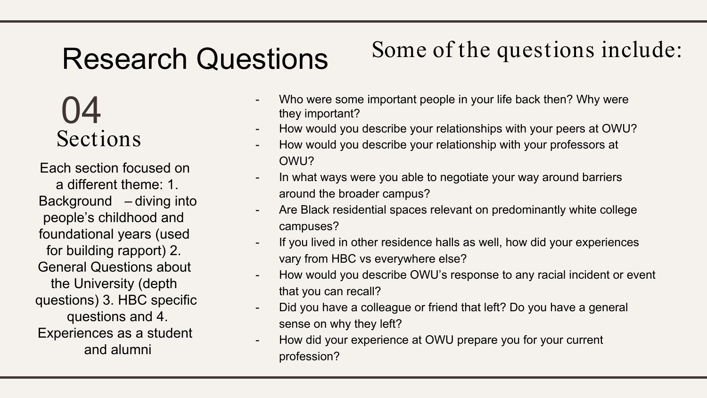#### Research Questions

#### Some of the questions include:

#### Sections 04

Each section focused on a different theme: 1. Background – diving into people's childhood and foundational years (used for building rapport) 2. General Questions about the University (depth questions) 3. HBC specific questions and 4. Experiences as a student and alumni

- Who were some important people in your life back then? Why were they important?
- How would you describe your relationships with your peers at OWU?
- How would you describe your relationship with your professors at OWU?
- In what ways were you able to negotiate your way around barriers around the broader campus?
- Are Black residential spaces relevant on predominantly white college campuses?
- If you lived in other residence halls as well, how did your experiences vary from HBC vs everywhere else?
- How would you describe OWU's response to any racial incident or event that you can recall?
- Did you have a colleague or friend that left? Do you have a general sense on why they left?
- How did your experience at OWU prepare you for your current profession?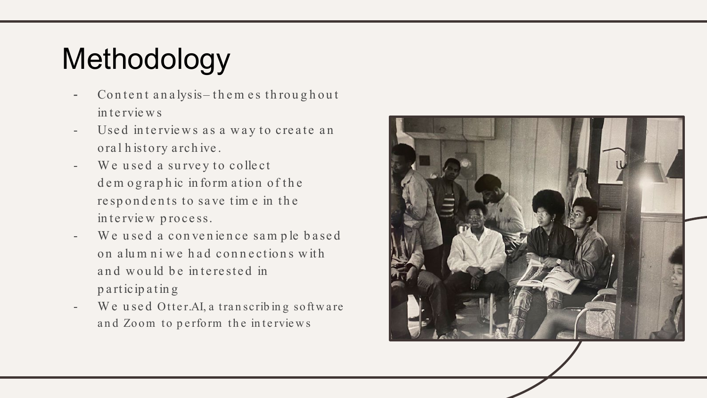## Methodology

- Content analysis-them es throughout in te rvie w s
- Used interviews as a way to create an oral history archive.
- We used a survey to collect d e m o g raphic in form ation of the re sp ondents to save time in the in terview process.
- We used a convenience sample based on alumniwe had connections with and would be interested in p a rt icip a t in g
- We used Otter.AI, a transcribing software and Zoom to perform the interviews

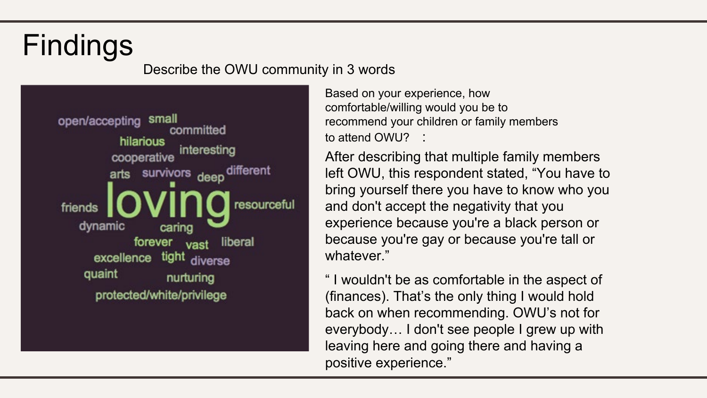### Findings

#### Describe the OWU community in 3 words



Based on your experience, how comfortable/willing would you be to recommend your children or family members to attend OWU? :

After describing that multiple family members left OWU, this respondent stated, "You have to bring yourself there you have to know who you and don't accept the negativity that you experience because you're a black person or because you're gay or because you're tall or whatever."

" I wouldn't be as comfortable in the aspect of (finances). That's the only thing I would hold back on when recommending. OWU's not for everybody… I don't see people I grew up with leaving here and going there and having a positive experience."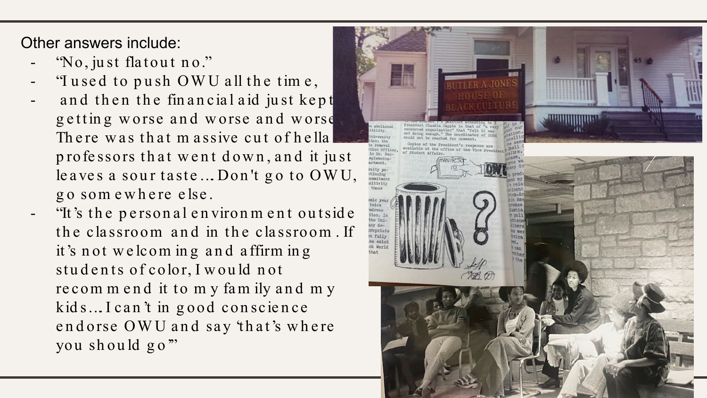Other answers include:

- "No, just flatout no."
- "I used to push OWU all the time,
- and then the financial aid just kept getting worse and worse and worse There was that m assive cut of hella professors that went down, and it just le ave s a sour taste  $\ldots$  Don't go to OWU, g o som e w h e re e lse .
- "It 's t h e p e rson a l e n viron m e n t ou t sid e the classroom and in the classroom. If it 's n ot w e lcom in g a n d a ffirm in g students of color, I would not re commend it to my family and my kids... I can't in good conscience end orse OWU and say 'that's where you sh ou ld g o'"

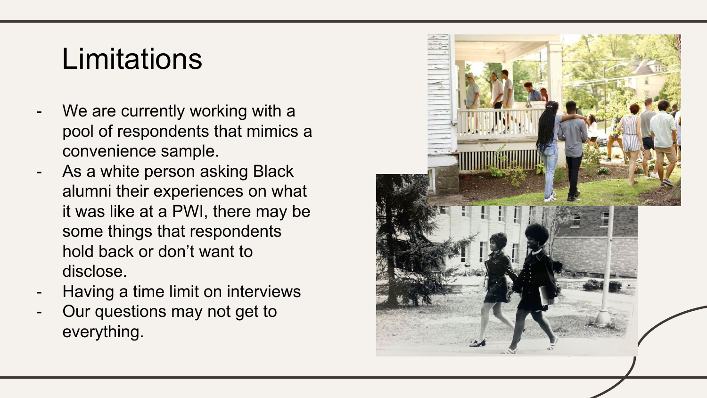#### **Limitations**

- We are currently working with a pool of respondents that mimics a convenience sample.
- As a white person asking Black alumni their experiences on what it was like at a PWI, there may be some things that respondents hold back or don't want to disclose.
- Having a time limit on interviews
- Our questions may not get to everything.

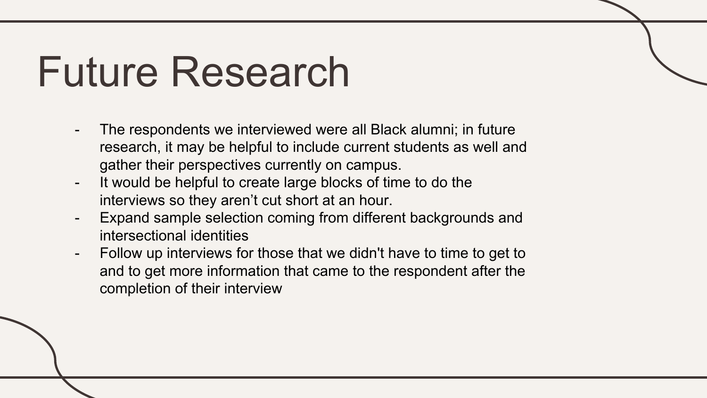## Future Research

- The respondents we interviewed were all Black alumni; in future research, it may be helpful to include current students as well and gather their perspectives currently on campus.
- It would be helpful to create large blocks of time to do the interviews so they aren't cut short at an hour.
- Expand sample selection coming from different backgrounds and intersectional identities
- Follow up interviews for those that we didn't have to time to get to and to get more information that came to the respondent after the completion of their interview